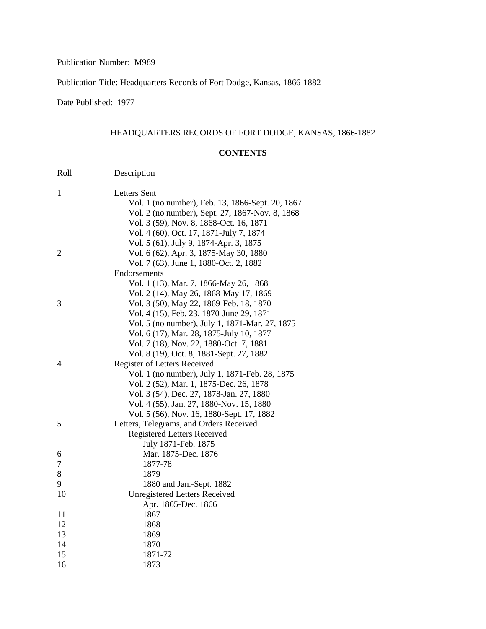Publication Number: M989

Publication Title: Headquarters Records of Fort Dodge, Kansas, 1866-1882

Date Published: 1977

## HEADQUARTERS RECORDS OF FORT DODGE, KANSAS, 1866-1882

## **CONTENTS**

| <u>Roll</u>    | Description                                      |
|----------------|--------------------------------------------------|
| 1              | <b>Letters Sent</b>                              |
|                | Vol. 1 (no number), Feb. 13, 1866-Sept. 20, 1867 |
|                | Vol. 2 (no number), Sept. 27, 1867-Nov. 8, 1868  |
|                | Vol. 3 (59), Nov. 8, 1868-Oct. 16, 1871          |
|                | Vol. 4 (60), Oct. 17, 1871-July 7, 1874          |
|                | Vol. 5 (61), July 9, 1874-Apr. 3, 1875           |
| $\overline{2}$ | Vol. 6 (62), Apr. 3, 1875-May 30, 1880           |
|                | Vol. 7 (63), June 1, 1880-Oct. 2, 1882           |
|                | Endorsements                                     |
|                | Vol. 1 (13), Mar. 7, 1866-May 26, 1868           |
|                | Vol. 2 (14), May 26, 1868-May 17, 1869           |
| 3              | Vol. 3 (50), May 22, 1869-Feb. 18, 1870          |
|                | Vol. 4 (15), Feb. 23, 1870-June 29, 1871         |
|                | Vol. 5 (no number), July 1, 1871-Mar. 27, 1875   |
|                | Vol. 6 (17), Mar. 28, 1875-July 10, 1877         |
|                | Vol. 7 (18), Nov. 22, 1880-Oct. 7, 1881          |
|                | Vol. 8 (19), Oct. 8, 1881-Sept. 27, 1882         |
| 4              | <b>Register of Letters Received</b>              |
|                | Vol. 1 (no number), July 1, 1871-Feb. 28, 1875   |
|                | Vol. 2 (52), Mar. 1, 1875-Dec. 26, 1878          |
|                | Vol. 3 (54), Dec. 27, 1878-Jan. 27, 1880         |
|                | Vol. 4 (55), Jan. 27, 1880-Nov. 15, 1880         |
|                | Vol. 5 (56), Nov. 16, 1880-Sept. 17, 1882        |
| 5              | Letters, Telegrams, and Orders Received          |
|                | <b>Registered Letters Received</b>               |
|                | July 1871-Feb. 1875                              |
| 6              | Mar. 1875-Dec. 1876                              |
| 7              | 1877-78                                          |
| 8              | 1879                                             |
| 9              | 1880 and Jan.-Sept. 1882                         |
| 10             | <b>Unregistered Letters Received</b>             |
|                | Apr. 1865-Dec. 1866                              |
| 11             | 1867                                             |
| 12             | 1868                                             |
| 13             | 1869                                             |
| 14             | 1870                                             |
| 15             | 1871-72                                          |
| 16             | 1873                                             |